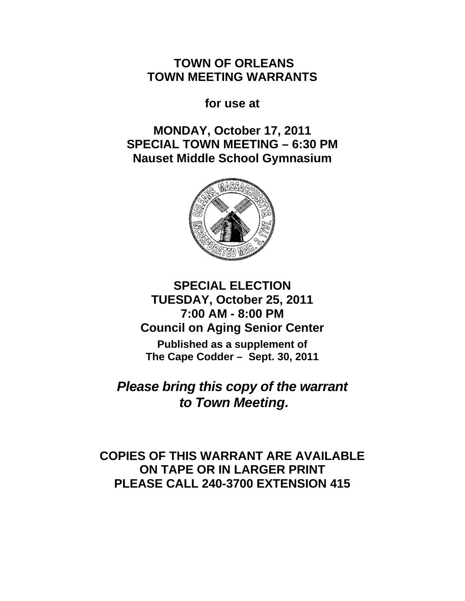**TOWN OF ORLEANS TOWN MEETING WARRANTS** 

**for use at** 

**MONDAY, October 17, 2011 SPECIAL TOWN MEETING – 6:30 PM Nauset Middle School Gymnasium** 



# **SPECIAL ELECTION TUESDAY, October 25, 2011 7:00 AM - 8:00 PM Council on Aging Senior Center**

**Published as a supplement of The Cape Codder – Sept. 30, 2011** 

*Please bring this copy of the warrant to Town Meeting.* 

**COPIES OF THIS WARRANT ARE AVAILABLE ON TAPE OR IN LARGER PRINT PLEASE CALL 240-3700 EXTENSION 415**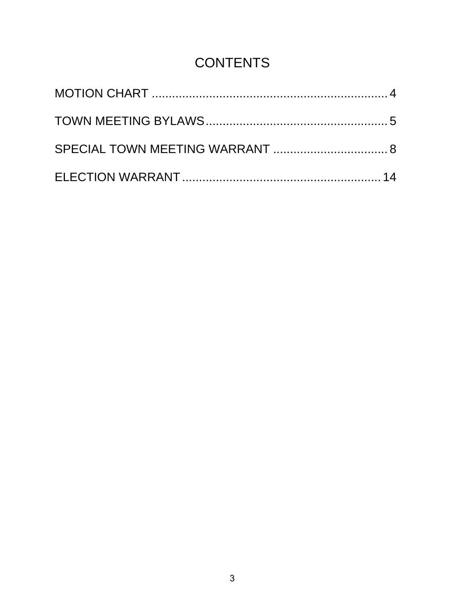# **CONTENTS**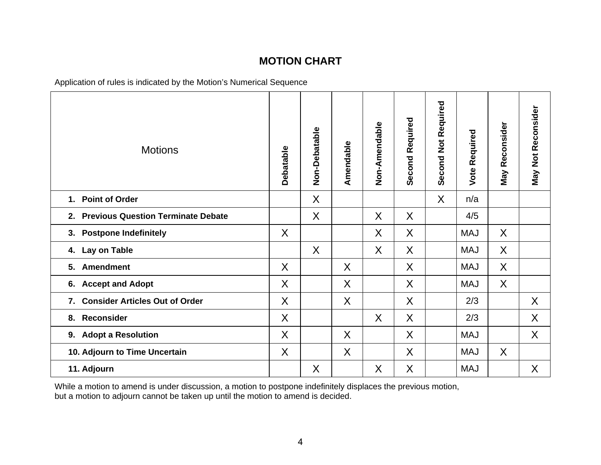# **MOTION CHART**

Application of rules is indicated by the Motion's Numerical Sequence

| <b>Motions</b>                              | Debatable | Non-Debatable | Amendable | Non-Amendable | Second Required | <b>Second Not Required</b> | Required<br><b>Vote</b> | <b>May Reconsider</b> | <b>May Not Reconsider</b> |
|---------------------------------------------|-----------|---------------|-----------|---------------|-----------------|----------------------------|-------------------------|-----------------------|---------------------------|
| 1. Point of Order                           |           | X             |           |               |                 | $\sf X$                    | n/a                     |                       |                           |
| 2. Previous Question Terminate Debate       |           | X             |           | X             | $\sf X$         |                            | 4/5                     |                       |                           |
| 3. Postpone Indefinitely                    | X         |               |           | X             | $\sf X$         |                            | <b>MAJ</b>              | X                     |                           |
| 4. Lay on Table                             |           | X             |           | X             | X               |                            | <b>MAJ</b>              | X                     |                           |
| <b>Amendment</b><br>5.                      | X         |               | X         |               | $\sf X$         |                            | <b>MAJ</b>              | $\sf X$               |                           |
| 6. Accept and Adopt                         | X         |               | $\sf X$   |               | $\sf X$         |                            | <b>MAJ</b>              | $\sf X$               |                           |
| <b>Consider Articles Out of Order</b><br>7. | X         |               | X         |               | X               |                            | 2/3                     |                       | X                         |
| 8. Reconsider                               | $\sf X$   |               |           | $\sf X$       | X               |                            | 2/3                     |                       | X                         |
| 9. Adopt a Resolution                       | X         |               | X         |               | X               |                            | <b>MAJ</b>              |                       | X                         |
| 10. Adjourn to Time Uncertain               | X         |               | $\sf X$   |               | $\sf X$         |                            | <b>MAJ</b>              | $\sf X$               |                           |
| 11. Adjourn                                 |           | X             |           | X             | $\sf X$         |                            | <b>MAJ</b>              |                       | $\sf X$                   |

While a motion to amend is under discussion, a motion to postpone indefinitely displaces the previous motion, but a motion to adjourn cannot be taken up until the motion to amend is decided.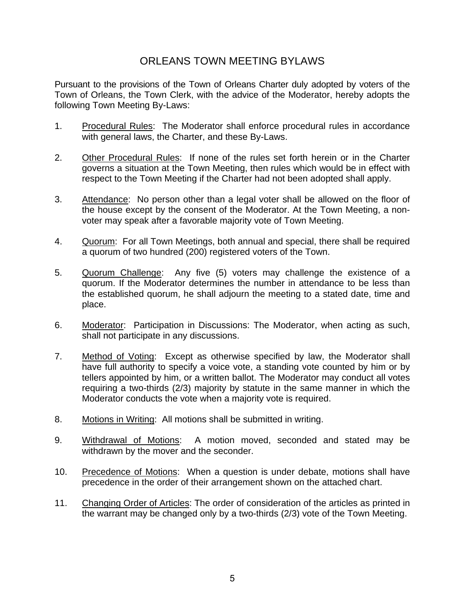# ORLEANS TOWN MEETING BYLAWS

Pursuant to the provisions of the Town of Orleans Charter duly adopted by voters of the Town of Orleans, the Town Clerk, with the advice of the Moderator, hereby adopts the following Town Meeting By-Laws:

- 1. Procedural Rules: The Moderator shall enforce procedural rules in accordance with general laws, the Charter, and these By-Laws.
- 2. Other Procedural Rules: If none of the rules set forth herein or in the Charter governs a situation at the Town Meeting, then rules which would be in effect with respect to the Town Meeting if the Charter had not been adopted shall apply.
- 3. Attendance: No person other than a legal voter shall be allowed on the floor of the house except by the consent of the Moderator. At the Town Meeting, a nonvoter may speak after a favorable majority vote of Town Meeting.
- 4. Quorum: For all Town Meetings, both annual and special, there shall be required a quorum of two hundred (200) registered voters of the Town.
- 5. Quorum Challenge: Any five (5) voters may challenge the existence of a quorum. If the Moderator determines the number in attendance to be less than the established quorum, he shall adjourn the meeting to a stated date, time and place.
- 6. Moderator: Participation in Discussions: The Moderator, when acting as such, shall not participate in any discussions.
- 7. Method of Voting: Except as otherwise specified by law, the Moderator shall have full authority to specify a voice vote, a standing vote counted by him or by tellers appointed by him, or a written ballot. The Moderator may conduct all votes requiring a two-thirds (2/3) majority by statute in the same manner in which the Moderator conducts the vote when a majority vote is required.
- 8. Motions in Writing: All motions shall be submitted in writing.
- 9. Withdrawal of Motions: A motion moved, seconded and stated may be withdrawn by the mover and the seconder.
- 10. Precedence of Motions: When a question is under debate, motions shall have precedence in the order of their arrangement shown on the attached chart.
- 11. Changing Order of Articles: The order of consideration of the articles as printed in the warrant may be changed only by a two-thirds (2/3) vote of the Town Meeting.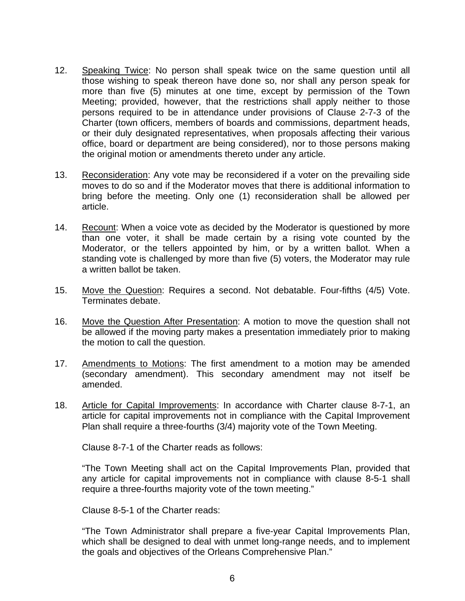- 12. Speaking Twice: No person shall speak twice on the same question until all those wishing to speak thereon have done so, nor shall any person speak for more than five (5) minutes at one time, except by permission of the Town Meeting; provided, however, that the restrictions shall apply neither to those persons required to be in attendance under provisions of Clause 2-7-3 of the Charter (town officers, members of boards and commissions, department heads, or their duly designated representatives, when proposals affecting their various office, board or department are being considered), nor to those persons making the original motion or amendments thereto under any article.
- 13. Reconsideration: Any vote may be reconsidered if a voter on the prevailing side moves to do so and if the Moderator moves that there is additional information to bring before the meeting. Only one (1) reconsideration shall be allowed per article.
- 14. Recount: When a voice vote as decided by the Moderator is questioned by more than one voter, it shall be made certain by a rising vote counted by the Moderator, or the tellers appointed by him, or by a written ballot. When a standing vote is challenged by more than five (5) voters, the Moderator may rule a written ballot be taken.
- 15. Move the Question: Requires a second. Not debatable. Four-fifths (4/5) Vote. Terminates debate.
- 16. Move the Question After Presentation: A motion to move the question shall not be allowed if the moving party makes a presentation immediately prior to making the motion to call the question.
- 17. Amendments to Motions: The first amendment to a motion may be amended (secondary amendment). This secondary amendment may not itself be amended.
- 18. Article for Capital Improvements: In accordance with Charter clause 8-7-1, an article for capital improvements not in compliance with the Capital Improvement Plan shall require a three-fourths (3/4) majority vote of the Town Meeting.

Clause 8-7-1 of the Charter reads as follows:

"The Town Meeting shall act on the Capital Improvements Plan, provided that any article for capital improvements not in compliance with clause 8-5-1 shall require a three-fourths majority vote of the town meeting."

Clause 8-5-1 of the Charter reads:

"The Town Administrator shall prepare a five-year Capital Improvements Plan, which shall be designed to deal with unmet long-range needs, and to implement the goals and objectives of the Orleans Comprehensive Plan."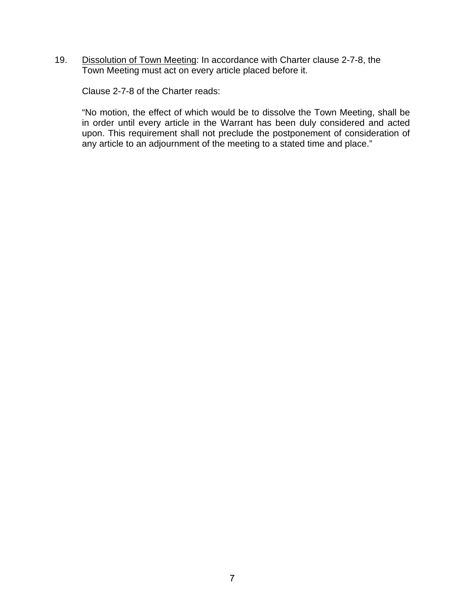19. Dissolution of Town Meeting: In accordance with Charter clause 2-7-8, the Town Meeting must act on every article placed before it.

Clause 2-7-8 of the Charter reads:

"No motion, the effect of which would be to dissolve the Town Meeting, shall be in order until every article in the Warrant has been duly considered and acted upon. This requirement shall not preclude the postponement of consideration of any article to an adjournment of the meeting to a stated time and place."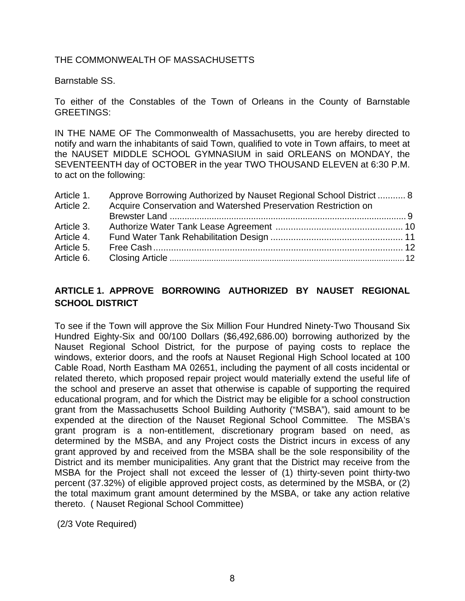## THE COMMONWEALTH OF MASSACHUSETTS

Barnstable SS.

To either of the Constables of the Town of Orleans in the County of Barnstable GREETINGS:

IN THE NAME OF The Commonwealth of Massachusetts, you are hereby directed to notify and warn the inhabitants of said Town, qualified to vote in Town affairs, to meet at the NAUSET MIDDLE SCHOOL GYMNASIUM in said ORLEANS on MONDAY, the SEVENTEENTH day of OCTOBER in the year TWO THOUSAND ELEVEN at 6:30 P.M. to act on the following:

| Article 1.<br>Article 2. | Approve Borrowing Authorized by Nauset Regional School District  8<br>Acquire Conservation and Watershed Preservation Restriction on |  |
|--------------------------|--------------------------------------------------------------------------------------------------------------------------------------|--|
|                          |                                                                                                                                      |  |
| Article 3.               |                                                                                                                                      |  |
| Article 4.               |                                                                                                                                      |  |
| Article 5.               |                                                                                                                                      |  |
| Article 6.               |                                                                                                                                      |  |

# **ARTICLE 1. APPROVE BORROWING AUTHORIZED BY NAUSET REGIONAL SCHOOL DISTRICT**

To see if the Town will approve the Six Million Four Hundred Ninety-Two Thousand Six Hundred Eighty-Six and 00/100 Dollars (\$6,492,686.00) borrowing authorized by the Nauset Regional School District*,* for the purpose of paying costs to replace the windows, exterior doors, and the roofs at Nauset Regional High School located at 100 Cable Road, North Eastham MA 02651, including the payment of all costs incidental or related thereto, which proposed repair project would materially extend the useful life of the school and preserve an asset that otherwise is capable of supporting the required educational program, and for which the District may be eligible for a school construction grant from the Massachusetts School Building Authority ("MSBA"), said amount to be expended at the direction of the Nauset Regional School Committee*.* The MSBA's grant program is a non-entitlement, discretionary program based on need, as determined by the MSBA, and any Project costs the District incurs in excess of any grant approved by and received from the MSBA shall be the sole responsibility of the District and its member municipalities. Any grant that the District may receive from the MSBA for the Project shall not exceed the lesser of (1) thirty-seven point thirty-two percent (37.32%) of eligible approved project costs, as determined by the MSBA, or (2) the total maximum grant amount determined by the MSBA, or take any action relative thereto. ( Nauset Regional School Committee)

(2/3 Vote Required)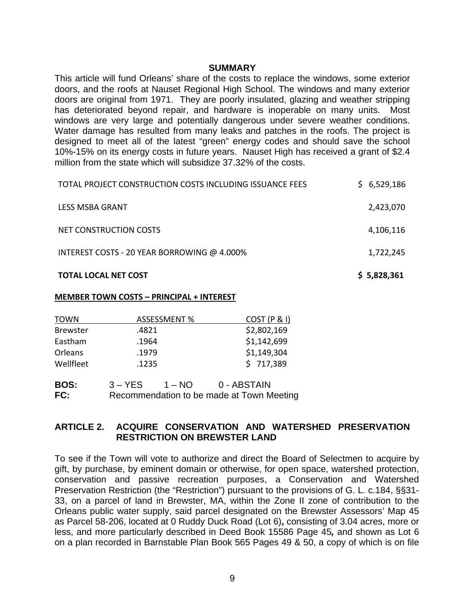#### **SUMMARY**

This article will fund Orleans' share of the costs to replace the windows, some exterior doors, and the roofs at Nauset Regional High School. The windows and many exterior doors are original from 1971. They are poorly insulated, glazing and weather stripping has deteriorated beyond repair, and hardware is inoperable on many units. Most windows are very large and potentially dangerous under severe weather conditions. Water damage has resulted from many leaks and patches in the roofs. The project is designed to meet all of the latest "green" energy codes and should save the school 10%-15% on its energy costs in future years. Nauset High has received a grant of \$2.4 million from the state which will subsidize 37.32% of the costs.

| <b>TOTAL LOCAL NET COST</b>                                     | \$5,828,361 |
|-----------------------------------------------------------------|-------------|
| INTEREST COSTS - 20 YEAR BORROWING @ 4.000%                     | 1,722,245   |
| NET CONSTRUCTION COSTS                                          | 4,106,116   |
| LESS MSBA GRANT                                                 | 2,423,070   |
| <b>TOTAL PROJECT CONSTRUCTION COSTS INCLUDING ISSUANCE FEES</b> | \$6,529,186 |

#### **MEMBER TOWN COSTS – PRINCIPAL + INTEREST**

| <b>TOWN</b>     | <b>ASSESSMENT %</b> | COST (P & I) |
|-----------------|---------------------|--------------|
| <b>Brewster</b> | .4821               | \$2,802,169  |
| Eastham         | .1964               | \$1,142,699  |
| Orleans         | .1979               | \$1,149,304  |
| Wellfleet       | .1235               | \$717,389    |
|                 |                     |              |

**BOS:**  $3 - YES$  1 – NO 0 - ABSTAIN **FC:** Recommendation to be made at Town Meeting

## **ARTICLE 2. ACQUIRE CONSERVATION AND WATERSHED PRESERVATION RESTRICTION ON BREWSTER LAND**

To see if the Town will vote to authorize and direct the Board of Selectmen to acquire by gift, by purchase, by eminent domain or otherwise, for open space, watershed protection, conservation and passive recreation purposes, a Conservation and Watershed Preservation Restriction (the "Restriction") pursuant to the provisions of G. L. c.184, §§31- 33, on a parcel of land in Brewster, MA, within the Zone II zone of contribution to the Orleans public water supply, said parcel designated on the Brewster Assessors' Map 45 as Parcel 58-206, located at 0 Ruddy Duck Road (Lot 6)**,** consisting of 3.04 acres, more or less, and more particularly described in Deed Book 15586 Page 45*,* and shown as Lot 6 on a plan recorded in Barnstable Plan Book 565 Pages 49 & 50, a copy of which is on file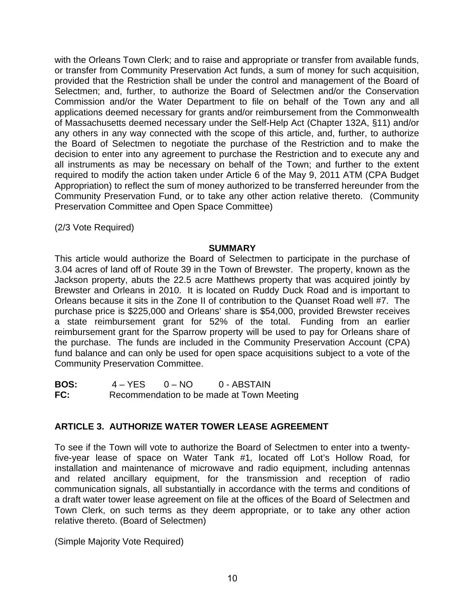with the Orleans Town Clerk; and to raise and appropriate or transfer from available funds, or transfer from Community Preservation Act funds, a sum of money for such acquisition, provided that the Restriction shall be under the control and management of the Board of Selectmen; and, further, to authorize the Board of Selectmen and/or the Conservation Commission and/or the Water Department to file on behalf of the Town any and all applications deemed necessary for grants and/or reimbursement from the Commonwealth of Massachusetts deemed necessary under the Self-Help Act (Chapter 132A, §11) and/or any others in any way connected with the scope of this article, and, further, to authorize the Board of Selectmen to negotiate the purchase of the Restriction and to make the decision to enter into any agreement to purchase the Restriction and to execute any and all instruments as may be necessary on behalf of the Town; and further to the extent required to modify the action taken under Article 6 of the May 9, 2011 ATM (CPA Budget Appropriation) to reflect the sum of money authorized to be transferred hereunder from the Community Preservation Fund, or to take any other action relative thereto. (Community Preservation Committee and Open Space Committee)

(2/3 Vote Required)

#### **SUMMARY**

This article would authorize the Board of Selectmen to participate in the purchase of 3.04 acres of land off of Route 39 in the Town of Brewster. The property, known as the Jackson property, abuts the 22.5 acre Matthews property that was acquired jointly by Brewster and Orleans in 2010. It is located on Ruddy Duck Road and is important to Orleans because it sits in the Zone II of contribution to the Quanset Road well #7. The purchase price is \$225,000 and Orleans' share is \$54,000, provided Brewster receives a state reimbursement grant for 52% of the total. Funding from an earlier reimbursement grant for the Sparrow property will be used to pay for Orleans share of the purchase. The funds are included in the Community Preservation Account (CPA) fund balance and can only be used for open space acquisitions subject to a vote of the Community Preservation Committee.

| <b>BOS:</b> | 4 – YES | $0 - NO$ | 0 - ABSTAIN                               |
|-------------|---------|----------|-------------------------------------------|
| FC:         |         |          | Recommendation to be made at Town Meeting |

#### **ARTICLE 3. AUTHORIZE WATER TOWER LEASE AGREEMENT**

To see if the Town will vote to authorize the Board of Selectmen to enter into a twentyfive-year lease of space on Water Tank #1*,* located off Lot's Hollow Road*,* for installation and maintenance of microwave and radio equipment, including antennas and related ancillary equipment, for the transmission and reception of radio communication signals, all substantially in accordance with the terms and conditions of a draft water tower lease agreement on file at the offices of the Board of Selectmen and Town Clerk, on such terms as they deem appropriate, or to take any other action relative thereto. (Board of Selectmen)

(Simple Majority Vote Required)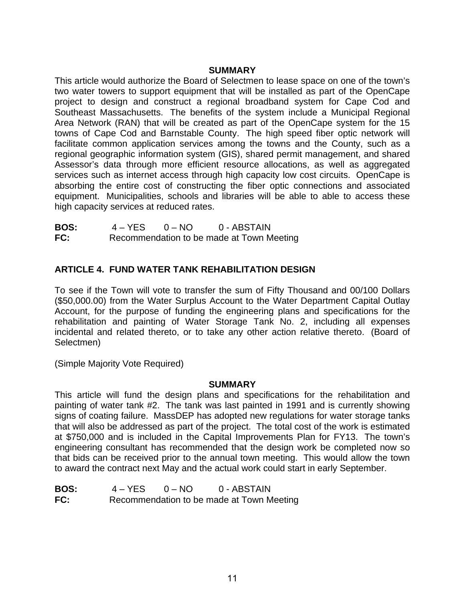#### **SUMMARY**

This article would authorize the Board of Selectmen to lease space on one of the town's two water towers to support equipment that will be installed as part of the OpenCape project to design and construct a regional broadband system for Cape Cod and Southeast Massachusetts. The benefits of the system include a Municipal Regional Area Network (RAN) that will be created as part of the OpenCape system for the 15 towns of Cape Cod and Barnstable County. The high speed fiber optic network will facilitate common application services among the towns and the County, such as a regional geographic information system (GIS), shared permit management, and shared Assessor's data through more efficient resource allocations, as well as aggregated services such as internet access through high capacity low cost circuits. OpenCape is absorbing the entire cost of constructing the fiber optic connections and associated equipment. Municipalities, schools and libraries will be able to able to access these high capacity services at reduced rates.

**BOS:** 4 – YES 0 – NO 0 - ABSTAIN **FC:** Recommendation to be made at Town Meeting

## **ARTICLE 4. FUND WATER TANK REHABILITATION DESIGN**

To see if the Town will vote to transfer the sum of Fifty Thousand and 00/100 Dollars (\$50,000.00) from the Water Surplus Account to the Water Department Capital Outlay Account, for the purpose of funding the engineering plans and specifications for the rehabilitation and painting of Water Storage Tank No. 2, including all expenses incidental and related thereto, or to take any other action relative thereto. (Board of Selectmen)

(Simple Majority Vote Required)

#### **SUMMARY**

This article will fund the design plans and specifications for the rehabilitation and painting of water tank #2. The tank was last painted in 1991 and is currently showing signs of coating failure. MassDEP has adopted new regulations for water storage tanks that will also be addressed as part of the project. The total cost of the work is estimated at \$750,000 and is included in the Capital Improvements Plan for FY13. The town's engineering consultant has recommended that the design work be completed now so that bids can be received prior to the annual town meeting. This would allow the town to award the contract next May and the actual work could start in early September.

| <b>BOS:</b> | $4 - YES$ | $0 - NQ$ | 0 - ABSTAIN                               |  |
|-------------|-----------|----------|-------------------------------------------|--|
| FC:         |           |          | Recommendation to be made at Town Meeting |  |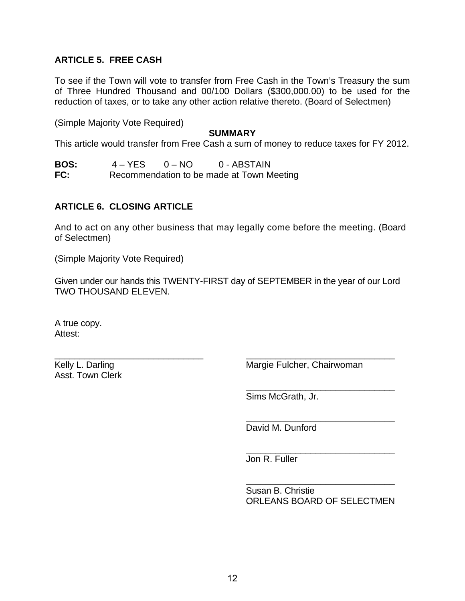## **ARTICLE 5. FREE CASH**

To see if the Town will vote to transfer from Free Cash in the Town's Treasury the sum of Three Hundred Thousand and 00/100 Dollars (\$300,000.00) to be used for the reduction of taxes, or to take any other action relative thereto. (Board of Selectmen)

(Simple Majority Vote Required)

#### **SUMMARY**

This article would transfer from Free Cash a sum of money to reduce taxes for FY 2012.

| <b>BOS:</b> | $4 - YES$ | $0 - NQ$ | 0 - ABSTAIN                               |  |
|-------------|-----------|----------|-------------------------------------------|--|
| FC:         |           |          | Recommendation to be made at Town Meeting |  |

#### **ARTICLE 6. CLOSING ARTICLE**

And to act on any other business that may legally come before the meeting. (Board of Selectmen)

(Simple Majority Vote Required)

\_\_\_\_\_\_\_\_\_\_\_\_\_\_\_\_\_\_\_\_\_\_\_\_\_\_\_\_\_\_

Given under our hands this TWENTY-FIRST day of SEPTEMBER in the year of our Lord TWO THOUSAND ELEVEN.

A true copy. Attest:

Kelly L. Darling Asst. Town Clerk Margie Fulcher, Chairwoman

\_\_\_\_\_\_\_\_\_\_\_\_\_\_\_\_\_\_\_\_\_\_\_\_\_\_\_\_\_\_

\_\_\_\_\_\_\_\_\_\_\_\_\_\_\_\_\_\_\_\_\_\_\_\_\_\_\_\_\_\_

Sims McGrath, Jr.

\_\_\_\_\_\_\_\_\_\_\_\_\_\_\_\_\_\_\_\_\_\_\_\_\_\_\_\_\_\_ David M. Dunford

\_\_\_\_\_\_\_\_\_\_\_\_\_\_\_\_\_\_\_\_\_\_\_\_\_\_\_\_\_\_ Jon R. Fuller

\_\_\_\_\_\_\_\_\_\_\_\_\_\_\_\_\_\_\_\_\_\_\_\_\_\_\_\_\_\_ Susan B. Christie ORLEANS BOARD OF SELECTMEN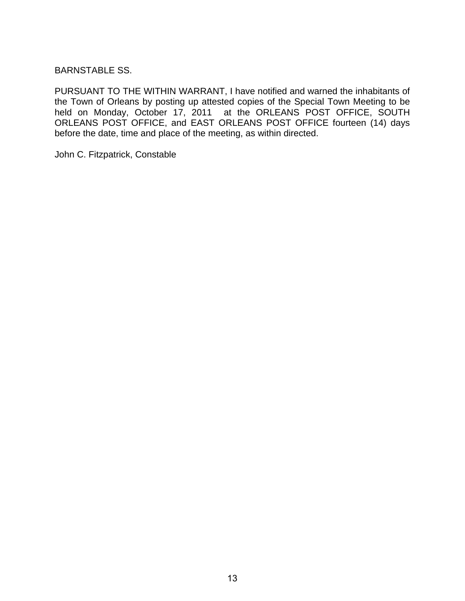## BARNSTABLE SS.

PURSUANT TO THE WITHIN WARRANT, I have notified and warned the inhabitants of the Town of Orleans by posting up attested copies of the Special Town Meeting to be held on Monday, October 17, 2011 at the ORLEANS POST OFFICE, SOUTH ORLEANS POST OFFICE, and EAST ORLEANS POST OFFICE fourteen (14) days before the date, time and place of the meeting, as within directed.

John C. Fitzpatrick, Constable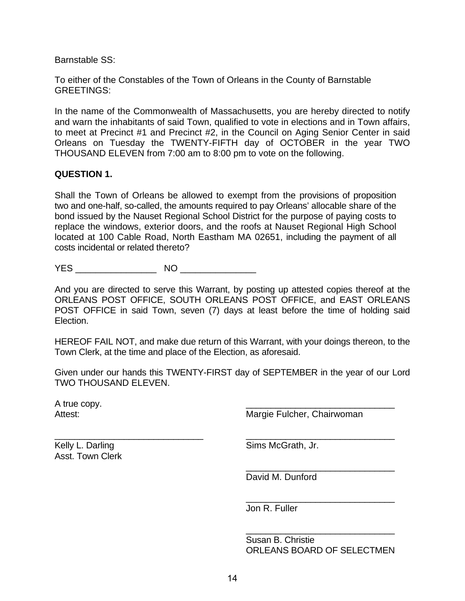Barnstable SS:

To either of the Constables of the Town of Orleans in the County of Barnstable GREETINGS:

In the name of the Commonwealth of Massachusetts, you are hereby directed to notify and warn the inhabitants of said Town, qualified to vote in elections and in Town affairs, to meet at Precinct #1 and Precinct #2, in the Council on Aging Senior Center in said Orleans on Tuesday the TWENTY-FIFTH day of OCTOBER in the year TWO THOUSAND ELEVEN from 7:00 am to 8:00 pm to vote on the following.

#### **QUESTION 1.**

Shall the Town of Orleans be allowed to exempt from the provisions of proposition two and one-half, so-called, the amounts required to pay Orleans' allocable share of the bond issued by the Nauset Regional School District for the purpose of paying costs to replace the windows, exterior doors, and the roofs at Nauset Regional High School located at 100 Cable Road, North Eastham MA 02651, including the payment of all costs incidental or related thereto?

YES \_\_\_\_\_\_\_\_\_\_\_\_\_\_\_\_ NO \_\_\_\_\_\_\_\_\_\_\_\_\_\_\_

And you are directed to serve this Warrant, by posting up attested copies thereof at the ORLEANS POST OFFICE, SOUTH ORLEANS POST OFFICE, and EAST ORLEANS POST OFFICE in said Town, seven (7) days at least before the time of holding said Election.

HEREOF FAIL NOT, and make due return of this Warrant, with your doings thereon, to the Town Clerk, at the time and place of the Election, as aforesaid.

Given under our hands this TWENTY-FIRST day of SEPTEMBER in the year of our Lord TWO THOUSAND ELEVEN.

A true copy. Attest:

Margie Fulcher, Chairwoman

\_\_\_\_\_\_\_\_\_\_\_\_\_\_\_\_\_\_\_\_\_\_\_\_\_\_\_\_\_\_

\_\_\_\_\_\_\_\_\_\_\_\_\_\_\_\_\_\_\_\_\_\_\_\_\_\_\_\_\_\_

\_\_\_\_\_\_\_\_\_\_\_\_\_\_\_\_\_\_\_\_\_\_\_\_\_\_\_\_\_\_

\_\_\_\_\_\_\_\_\_\_\_\_\_\_\_\_\_\_\_\_\_\_\_\_\_\_\_\_\_\_

Kelly L. Darling Asst. Town Clerk

\_\_\_\_\_\_\_\_\_\_\_\_\_\_\_\_\_\_\_\_\_\_\_\_\_\_\_\_\_\_

Sims McGrath, Jr.

David M. Dunford

Jon R. Fuller

Susan B. Christie ORLEANS BOARD OF SELECTMEN

\_\_\_\_\_\_\_\_\_\_\_\_\_\_\_\_\_\_\_\_\_\_\_\_\_\_\_\_\_\_